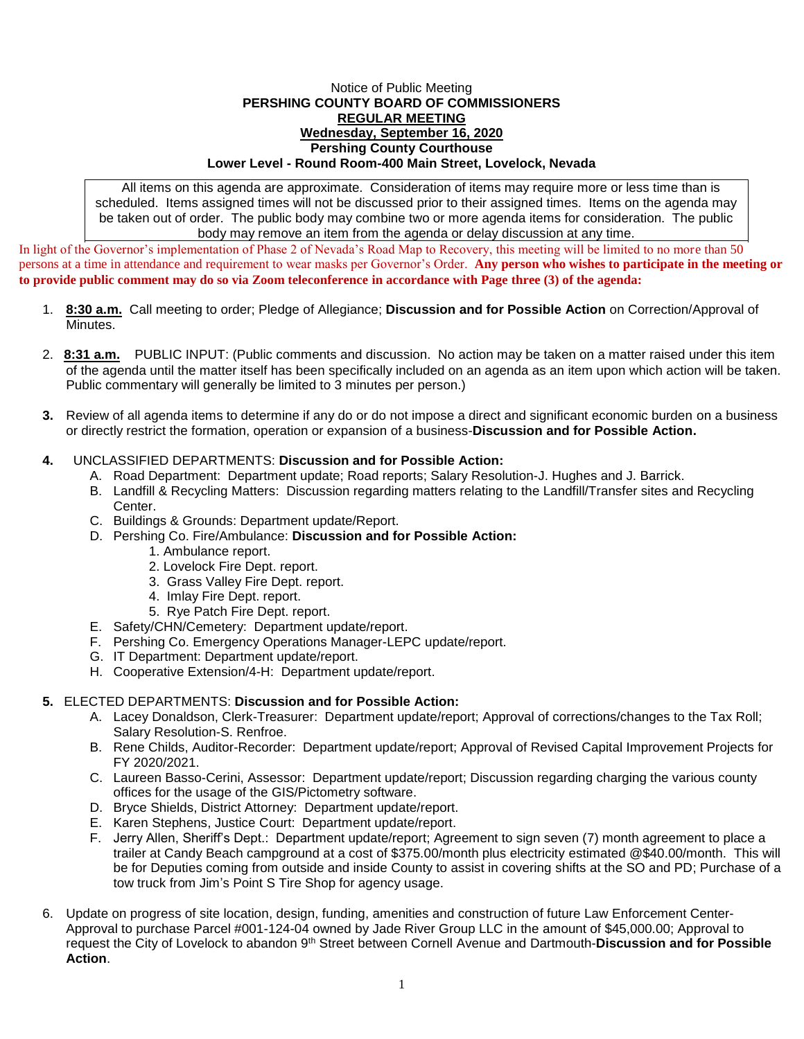## Notice of Public Meeting **PERSHING COUNTY BOARD OF COMMISSIONERS REGULAR MEETING Wednesday, September 16, 2020 Pershing County Courthouse Lower Level - Round Room-400 Main Street, Lovelock, Nevada**

All items on this agenda are approximate. Consideration of items may require more or less time than is scheduled. Items assigned times will not be discussed prior to their assigned times. Items on the agenda may be taken out of order. The public body may combine two or more agenda items for consideration. The public body may remove an item from the agenda or delay discussion at any time.

In light of the Governor's implementation of Phase 2 of Nevada's Road Map to Recovery, this meeting will be limited to no more than 50 persons at a time in attendance and requirement to wear masks per Governor's Order. **Any person who wishes to participate in the meeting or to provide public comment may do so via Zoom teleconference in accordance with Page three (3) of the agenda:** 

- 1. **8:30 a.m.** Call meeting to order; Pledge of Allegiance; **Discussion and for Possible Action** on Correction/Approval of Minutes.
- 2. **8:31 a.m.** PUBLIC INPUT: (Public comments and discussion. No action may be taken on a matter raised under this item of the agenda until the matter itself has been specifically included on an agenda as an item upon which action will be taken. Public commentary will generally be limited to 3 minutes per person.)
- **3.** Review of all agenda items to determine if any do or do not impose a direct and significant economic burden on a business or directly restrict the formation, operation or expansion of a business-**Discussion and for Possible Action.**

## **4.** UNCLASSIFIED DEPARTMENTS: **Discussion and for Possible Action:**

- A. Road Department: Department update; Road reports; Salary Resolution-J. Hughes and J. Barrick.
- B. Landfill & Recycling Matters: Discussion regarding matters relating to the Landfill/Transfer sites and Recycling Center.
- C. Buildings & Grounds: Department update/Report.
- D. Pershing Co. Fire/Ambulance: **Discussion and for Possible Action:**
	- 1. Ambulance report.
	- 2. Lovelock Fire Dept. report.
	- 3. Grass Valley Fire Dept. report.
	- 4. Imlay Fire Dept. report.
	- 5. Rye Patch Fire Dept. report.
- E. Safety/CHN/Cemetery: Department update/report.
- F. Pershing Co. Emergency Operations Manager-LEPC update/report.
- G. IT Department: Department update/report.
- H. Cooperative Extension/4-H: Department update/report.

## **5.** ELECTED DEPARTMENTS: **Discussion and for Possible Action:**

- A. Lacey Donaldson, Clerk-Treasurer: Department update/report; Approval of corrections/changes to the Tax Roll; Salary Resolution-S. Renfroe.
- B. Rene Childs, Auditor-Recorder: Department update/report; Approval of Revised Capital Improvement Projects for FY 2020/2021.
- C. Laureen Basso-Cerini, Assessor: Department update/report; Discussion regarding charging the various county offices for the usage of the GIS/Pictometry software.
- D. Bryce Shields, District Attorney: Department update/report.
- E. Karen Stephens, Justice Court: Department update/report.
- F. Jerry Allen, Sheriff's Dept.: Department update/report; Agreement to sign seven (7) month agreement to place a trailer at Candy Beach campground at a cost of \$375.00/month plus electricity estimated @\$40.00/month. This will be for Deputies coming from outside and inside County to assist in covering shifts at the SO and PD; Purchase of a tow truck from Jim's Point S Tire Shop for agency usage.
- 6. Update on progress of site location, design, funding, amenities and construction of future Law Enforcement Center-Approval to purchase Parcel #001-124-04 owned by Jade River Group LLC in the amount of \$45,000.00; Approval to request the City of Lovelock to abandon 9th Street between Cornell Avenue and Dartmouth-**Discussion and for Possible Action**.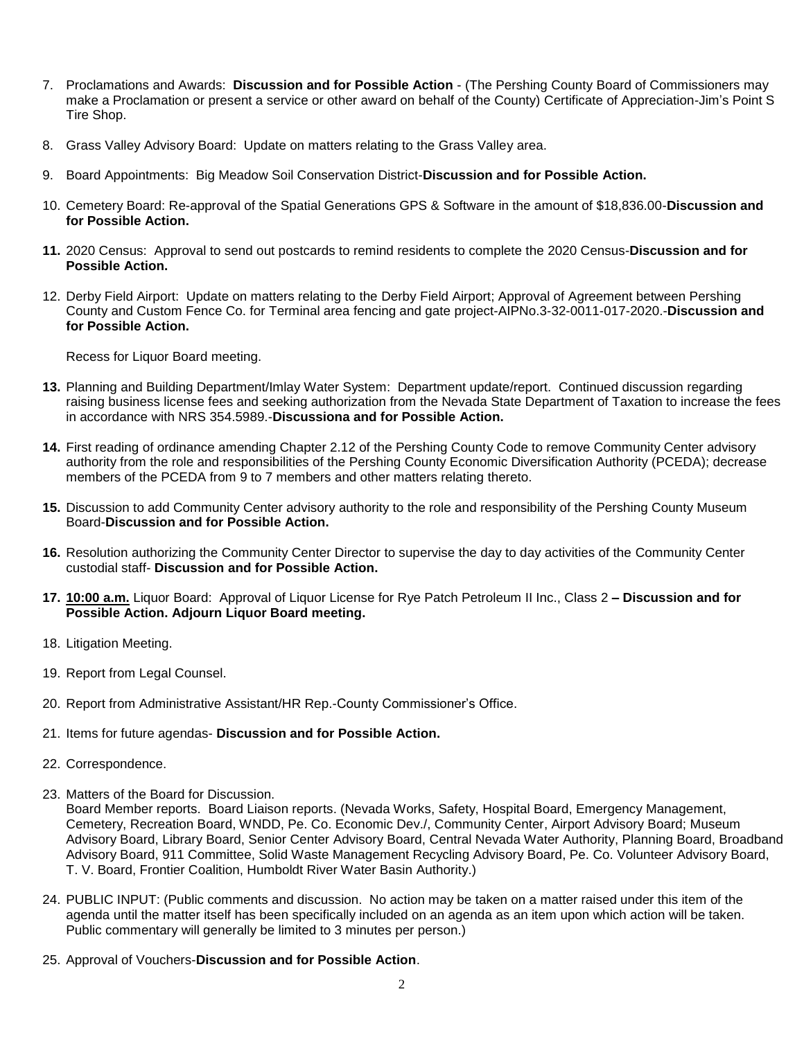- 7. Proclamations and Awards: **Discussion and for Possible Action** (The Pershing County Board of Commissioners may make a Proclamation or present a service or other award on behalf of the County) Certificate of Appreciation-Jim's Point S Tire Shop.
- 8. Grass Valley Advisory Board: Update on matters relating to the Grass Valley area.
- 9. Board Appointments: Big Meadow Soil Conservation District-**Discussion and for Possible Action.**
- 10. Cemetery Board: Re-approval of the Spatial Generations GPS & Software in the amount of \$18,836.00-**Discussion and for Possible Action.**
- **11.** 2020 Census: Approval to send out postcards to remind residents to complete the 2020 Census-**Discussion and for Possible Action.**
- 12. Derby Field Airport: Update on matters relating to the Derby Field Airport; Approval of Agreement between Pershing County and Custom Fence Co. for Terminal area fencing and gate project-AIPNo.3-32-0011-017-2020.-**Discussion and for Possible Action.**

Recess for Liquor Board meeting.

- **13.** Planning and Building Department/Imlay Water System: Department update/report. Continued discussion regarding raising business license fees and seeking authorization from the Nevada State Department of Taxation to increase the fees in accordance with NRS 354.5989.-**Discussiona and for Possible Action.**
- **14.** First reading of ordinance amending Chapter 2.12 of the Pershing County Code to remove Community Center advisory authority from the role and responsibilities of the Pershing County Economic Diversification Authority (PCEDA); decrease members of the PCEDA from 9 to 7 members and other matters relating thereto.
- **15.** Discussion to add Community Center advisory authority to the role and responsibility of the Pershing County Museum Board-**Discussion and for Possible Action.**
- **16.** Resolution authorizing the Community Center Director to supervise the day to day activities of the Community Center custodial staff- **Discussion and for Possible Action.**
- **17. 10:00 a.m.** Liquor Board: Approval of Liquor License for Rye Patch Petroleum II Inc., Class 2 **– Discussion and for Possible Action. Adjourn Liquor Board meeting.**
- 18. Litigation Meeting.
- 19. Report from Legal Counsel.
- 20. Report from Administrative Assistant/HR Rep.-County Commissioner's Office.
- 21. Items for future agendas- **Discussion and for Possible Action.**
- 22. Correspondence.
- 23. Matters of the Board for Discussion.

Board Member reports. Board Liaison reports. (Nevada Works, Safety, Hospital Board, Emergency Management, Cemetery, Recreation Board, WNDD, Pe. Co. Economic Dev./, Community Center, Airport Advisory Board; Museum Advisory Board, Library Board, Senior Center Advisory Board, Central Nevada Water Authority, Planning Board, Broadband Advisory Board, 911 Committee, Solid Waste Management Recycling Advisory Board, Pe. Co. Volunteer Advisory Board, T. V. Board, Frontier Coalition, Humboldt River Water Basin Authority.)

- 24. PUBLIC INPUT: (Public comments and discussion. No action may be taken on a matter raised under this item of the agenda until the matter itself has been specifically included on an agenda as an item upon which action will be taken. Public commentary will generally be limited to 3 minutes per person.)
- 25. Approval of Vouchers-**Discussion and for Possible Action**.